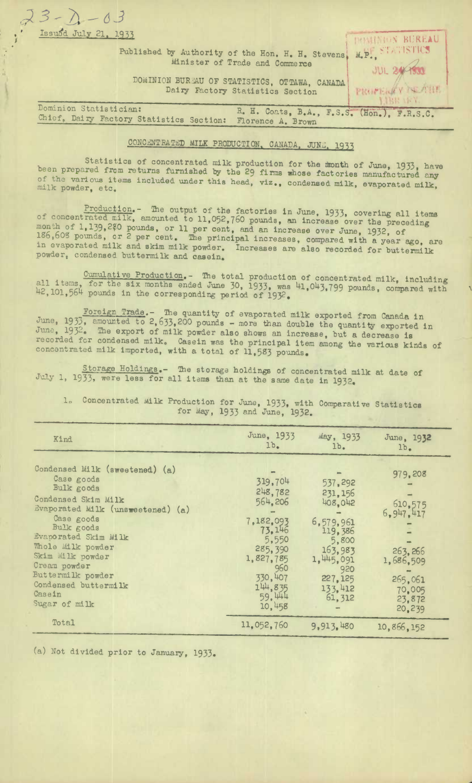Published by Authority of the Hon. H. H. Stevens, Minister of Trade and Commerce

 $3 - \lambda - 03$ 

July 21, 1933

DOMINION BUREAU OF STATISTICS, OTTAWA, CANADA Dairy Factory Statistics Section

**THALL CON BUREAU** M.P. STATISTICS

PROPERTY NEATH

**JUL 24** 

Dominion Statistician: R. H. Coats, B.A., F.S.S. (Hon.), F.R.S.C. Chief, Dairy Factory Statistics Section: Florence A. Brown

## CONCENTRATED MILK PRODUCTION, CANADA, JUNE, 1933

Statistics of concentrated milk production for the month of June, 1933, have<br>been prepared from returns furnished by the 29 firms whose factories manufactured any<br>of the various items included under this head, viz., conden milk powder, etc.

Production.- The output of the factories in June, 1933, covering all items<br>of concentrated milk, amounted to 11,052,760 pounds, an increase over the preceding<br>month of 1,139,270 pounds, or 11 per cent, and an increase over in evaporated milk and skim milk powder. Increases are also recorded for buttermilk powder, condensed buttermilk and casein.

Cumulative Production.- The total production of concentrated milk, including<br>all items, for the six months ended June 30, 1933, was 41,043,799 pounds, compared with<br>42,101,564 pounds in the corresponding period of 1932.

Foreign Trade.- The quantity of evaporated milk exported from Canada in June, 1933, amounted to 2,633,200 pounds - more than double the quantity exported in June, 1932. The export of milk powder also shows an increase, but a decrease is recorded for condensed milk. Casein was the principal item among the various kinds of concentrated milk imported, with a total of 11,583 pounds.

Storage Holdings.- The storage holdings of concentrated milk at date of July 1, 1933, were less for all items than at the same date in 1932.

1. Concentrated Milk Production for June, 1933, with Comparative Statistics<br>for May, 1933 and June, 1932.

| Kind                                                                                                                                                                                                                                                                                                        | June, 1933<br>1 <sub>b</sub>                                                                                                           | May, 1933<br>1 <sub>b</sub>                                                                                                     | June, 1932<br>$1b_{\bullet}$                                                                     |
|-------------------------------------------------------------------------------------------------------------------------------------------------------------------------------------------------------------------------------------------------------------------------------------------------------------|----------------------------------------------------------------------------------------------------------------------------------------|---------------------------------------------------------------------------------------------------------------------------------|--------------------------------------------------------------------------------------------------|
| Condensed Milk (sweetened) (a)<br>Case goods<br>Bulk goods<br>Condensed Skim Milk<br>Evaporated Milk (unsweetened) (a)<br>Case goods<br>Bulk goods<br>Evaporated Skim Milk<br>Whole Milk powder<br>Skim Milk powder<br>Cream powder<br>Buttermilk powder<br>Condensed buttermilk<br>Casein<br>Sugar of milk | 319.704<br>248.782<br>564.206<br>7.182.093<br>73.146<br>5,550<br>285.390<br>1,827,785<br>960<br>330,407<br>144.835<br>59.444<br>10.458 | 537,292<br>231, 156<br>408.042<br>6,579,961<br>119,386<br>5,800<br>163.983<br>1.445.091<br>920<br>227, 125<br>133.412<br>61.312 | 979.208<br>610.575<br>6,947,417<br>263.266<br>1,686,509<br>265.061<br>70.005<br>23,872<br>20.239 |
| Total                                                                                                                                                                                                                                                                                                       | 11,052,760                                                                                                                             | 9,913.480                                                                                                                       | 10,866,152                                                                                       |

(a) Not divided prior to January, 1933.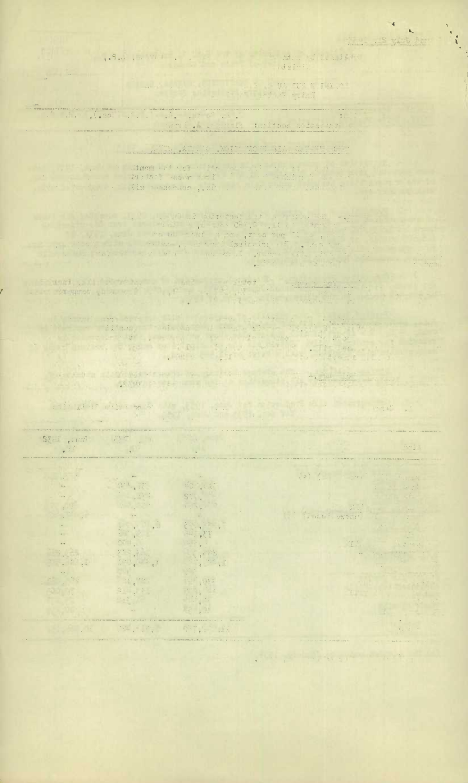



 $\label{eq:2} \mathbb{E}\left[\left\|\mathcal{L}_{\mathbf{a}}\right\|_{\mathcal{H}}\right]_{\mathcal{H}}\leq \mathbb{E}\left[\left\|\mathcal{L}_{\mathbf{a}}\right\|_{\mathcal{H}}\right]_{\mathcal{H}}\leq \mathbb{E}\left[\left\|\mathcal{L}_{\mathbf{a}}\right\|_{\mathcal{H}}\right]_{\mathcal{H}}\leq \mathbb{E}\left[\left\|\mathcal{L}_{\mathbf{a}}\right\|_{\mathcal{H}}\right]_{\mathcal{H}}\leq \mathbb{E}\left[\left\|\mathcal{L}_{\mathbf{a}}\right\|_{\math$ 



## <u> 1988 André Mindres and Kartine</u>

s a b a starfolgt streeth has a the street Albert March Parker and Constitution of the Constitution

 $\label{eq:2.1} \mathcal{L}(\mathcal{L}^{\mathcal{L}}) = \mathcal{L}(\mathcal{L}^{\mathcal{L}}) \mathcal{L}^{\mathcal{L}}(\mathcal{L}^{\mathcal{L}})$ 

| control and completed for mandole many in control edges to a line to specified in the sequence of the dealership and security and the second interview of the second control of the second control of the second control of th |                          | The the contract of the state of the contract of the contract of the contract of the contract of the contract of the contract of the contract of the contract of the contract of the contract of the contract of the contract | The provided and the company of the model provided and the approximate and the constitution of |             |
|--------------------------------------------------------------------------------------------------------------------------------------------------------------------------------------------------------------------------------|--------------------------|-------------------------------------------------------------------------------------------------------------------------------------------------------------------------------------------------------------------------------|------------------------------------------------------------------------------------------------|-------------|
| Sie and and the state                                                                                                                                                                                                          | <b>Contract Contract</b> |                                                                                                                                                                                                                               |                                                                                                | $1.1 - 1.1$ |
| <b>March 1979</b>                                                                                                                                                                                                              |                          |                                                                                                                                                                                                                               |                                                                                                |             |

| <b>State</b><br>$\sim$                             |                                                                                                                                                                                                                                                                |                                                                                                                                                                                                                                                                                                                                                                                                                                 |
|----------------------------------------------------|----------------------------------------------------------------------------------------------------------------------------------------------------------------------------------------------------------------------------------------------------------------|---------------------------------------------------------------------------------------------------------------------------------------------------------------------------------------------------------------------------------------------------------------------------------------------------------------------------------------------------------------------------------------------------------------------------------|
| ◆<br>$\sigma_{\rm{tot}}$<br>$\sim$<br>0.6          | $-4$<br>$\mathbb{R}^{n \times n}$<br>的气花                                                                                                                                                                                                                       | $\alpha\cdot\delta\cdot\sigma\cdot$<br>40.744                                                                                                                                                                                                                                                                                                                                                                                   |
| $1.18 - 1.1$                                       | $\alpha$<br>Arrest Made<br>$\mathbb{R}^n$<br>$\ddot{\phantom{0}}$                                                                                                                                                                                              | $\sim$ $\sim$                                                                                                                                                                                                                                                                                                                                                                                                                   |
| pila<br>$\sim$ 10 $\pm$<br>$\pm$<br>$\lambda$<br>k | <b>HELP</b><br>$10^{-4}$ M                                                                                                                                                                                                                                     | $n - n$                                                                                                                                                                                                                                                                                                                                                                                                                         |
| $\mathbf{G}$                                       | $\sim$<br>$\sim$ $\sim$<br><b>B</b> 11                                                                                                                                                                                                                         | $\mathbb{C}^{\mathbb{C}}_{\mathbb{C}^{\mathbb{C}}_{\mathbb{C}^{\mathbb{C}}_{\mathbb{C}^{\mathbb{C}}_{\mathbb{C}^{\mathbb{C}}_{\mathbb{C}^{\mathbb{C}}_{\mathbb{C}^{\mathbb{C}}_{\mathbb{C}^{\mathbb{C}}_{\mathbb{C}^{\mathbb{C}}_{\mathbb{C}^{\mathbb{C}}_{\mathbb{C}^{\mathbb{C}}_{\mathbb{C}^{\mathbb{C}}_{\mathbb{C}^{\mathbb{C}}_{\mathbb{C}^{\mathbb{C}}_{\mathbb{C}^{\mathbb{C}}_{\mathbb{C}^{\mathbb$<br>$\sim$<br>$f -$ |
| $\mathbf{a} = \mathbf{a} + \mathbf{b}$<br>$0 - 0$  | B<br>$\sim$ $\sim$<br><b>STIL</b>                                                                                                                                                                                                                              | $\mathbb{Z}^2$ , $\mathbb{Z}^2$<br>and the                                                                                                                                                                                                                                                                                                                                                                                      |
|                                                    | P.                                                                                                                                                                                                                                                             | $\mathcal{C}$<br>$\sim$                                                                                                                                                                                                                                                                                                                                                                                                         |
| $\sigma = \sigma$                                  | tria julia<br>$\overline{\phantom{a}}$<br>$\mathbb{Q}$<br>$\sim$ $-$<br>$\sim$                                                                                                                                                                                 |                                                                                                                                                                                                                                                                                                                                                                                                                                 |
| $\mathcal{D}(\mathbb{Q})$<br>$\sim$ $-$<br>×       | <b>的复数</b>                                                                                                                                                                                                                                                     |                                                                                                                                                                                                                                                                                                                                                                                                                                 |
|                                                    | $\mathcal{R}^{\mathcal{L}}_{\mathcal{L}^{\mathcal{L}}}$ , and $\mathcal{R}^{\mathcal{L}}_{\mathcal{L}^{\mathcal{L}}}$                                                                                                                                          | 四倍。                                                                                                                                                                                                                                                                                                                                                                                                                             |
|                                                    | 28<br>$\alpha$ .<br>٠<br>and the                                                                                                                                                                                                                               | 82.<br>$\frac{1}{2}$ . $\frac{5}{2}$ ,                                                                                                                                                                                                                                                                                                                                                                                          |
| the control of the control of<br>$\sim$            | <b>PERSONAL PRINT PLAN STATISTICS</b> IN THE RESIDENCE PRINT OF THE RESIDENT AND RESIDENCE IN THE RESIDENCE OF THE RESIDENCE OF THE RESIDENCE OF THE RESIDENCE OF THE RESIDENCE OF THE RESIDENCE OF THE RESIDENCE OF THE RESIDENCE<br>and the state<br>$5 - 1$ | the contract of the contract of                                                                                                                                                                                                                                                                                                                                                                                                 |

ster<br>General Sterne (1911)

 $\label{eq:1} \frac{1}{\sqrt{2}}\left(\frac{1}{\sqrt{2}}\right)^{2} \left(\frac{1}{\sqrt{2}}\right)^{2} \left(\frac{1}{\sqrt{2}}\right)^{2} \left(\frac{1}{\sqrt{2}}\right)^{2} \left(\frac{1}{\sqrt{2}}\right)^{2} \left(\frac{1}{\sqrt{2}}\right)^{2} \left(\frac{1}{\sqrt{2}}\right)^{2} \left(\frac{1}{\sqrt{2}}\right)^{2} \left(\frac{1}{\sqrt{2}}\right)^{2} \left(\frac{1}{\sqrt{2}}\right)^{2} \left(\frac{1}{\sqrt{2}}\right)^{2} \left(\frac{$ 

 $\mathbb{E}\left\{x\right\}$  . The same of  $\mathbb{E}\left\{x\right\}$  , and  $\mathbb{E}\left\{x\right\}$  , and  $\mathbb{E}\left\{x\right\}$  , and  $\mathbb{E}\left\{x\right\}$  , and  $\mathbb{E}\left\{x\right\}$  , and  $\mathbb{E}\left\{x\right\}$  , and  $\mathbb{E}\left\{x\right\}$  , and  $\mathbb{E}\left\{x\right\}$  , and  $\mathbb{E$ 

 $\mathbb{C}^{\mathbb{Z}^+}$  $\begin{array}{c} \bullet \\ \bullet \\ \bullet \\ \bullet \end{array}$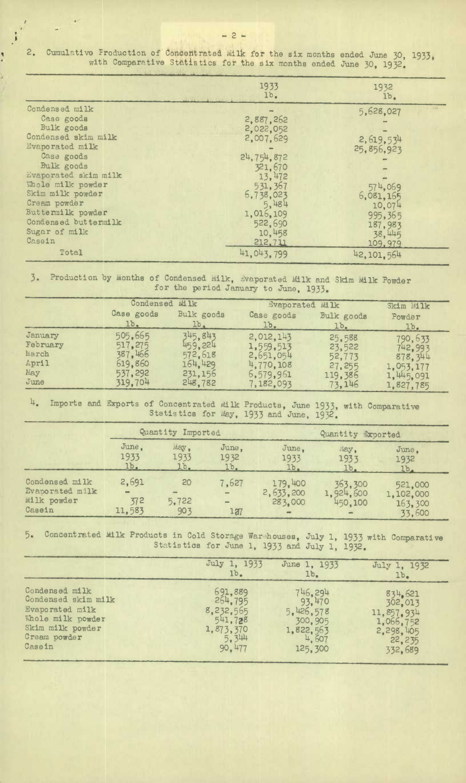2. Cumulative Production of Concentrated wilk for the six months ended June 30, 1933, with Comparative Statistics for the six months ended June 30, 1932.

ŧ

|                                                                                                                                                                                                                                                                            | 1933<br>1 <sub>b</sub>                                                                                                                       | 1932<br>1 <sub>b</sub>                                                                                  |
|----------------------------------------------------------------------------------------------------------------------------------------------------------------------------------------------------------------------------------------------------------------------------|----------------------------------------------------------------------------------------------------------------------------------------------|---------------------------------------------------------------------------------------------------------|
| Condensed milk<br>Case goods<br>Bulk goods<br>Condensed skim milk<br>Evaporated milk<br>Case goods<br>Bulk goods<br>Evaporated skim milk<br>Whole milk powder<br>Skim milk powder<br>Cream powder<br>Buttermilk powder<br>Condensed but termilk<br>Sugar of milk<br>Casein | 2.887,262<br>2,022,052<br>2,007.629<br>24, 754, 872<br>321,670<br>13.472<br>531, 367<br>6,738,023<br>5.484<br>1,016,109<br>522.690<br>10,458 | 5,628,027<br>2,619,534<br>25,856,923<br>574,069<br>6,081.165<br>10,074<br>995, 365<br>187.983<br>38.445 |
| Total                                                                                                                                                                                                                                                                      | 212,711<br>41.043.799                                                                                                                        | 109.979<br>42, 101. 564                                                                                 |

3. ProductIon by Monthe of Condensed Milk, vaporated Milk and Skim Milk Powder for the period January to June, 1933.

|                                                      | Condensed Milk                                                 |                                                                 | Evaporated Milk                                                            |                                                            | Skim Milk                                                             |
|------------------------------------------------------|----------------------------------------------------------------|-----------------------------------------------------------------|----------------------------------------------------------------------------|------------------------------------------------------------|-----------------------------------------------------------------------|
|                                                      | Case goods                                                     | Bulk goods                                                      | Case goods                                                                 | Bulk goods                                                 | Powder                                                                |
|                                                      | 1 <sub>b</sub>                                                 | 1 <sub>b<sub>a</sub></sub>                                      | $1b_{\bullet}$                                                             | 1b <sub>•</sub>                                            | 1b <sub>•</sub>                                                       |
| January<br>February<br>March<br>April<br>May<br>June | 505.665<br>517.275<br>387.466<br>619,860<br>537,292<br>319.704 | 345,843<br>459.224<br>572.618<br>164.429<br>231, 156<br>248.782 | 2,012.143<br>1,559,513<br>2,651,054<br>4,770,108<br>6,579,961<br>7,182,093 | 25.588<br>23,522<br>52,773<br>27, 255<br>119,386<br>73,146 | 790,633<br>742.993<br>878.344<br>1,053,177<br>1, 445.091<br>1,827,785 |

4. Imports and Exports of Concentrated Milk Products, June 1933, with Comparative Statistics for May, 1933 and June, 1932.

|                                                            |                                 | Quantity Imported     |                                                                      |                                           | Quantity Exported                    |                                           |  |
|------------------------------------------------------------|---------------------------------|-----------------------|----------------------------------------------------------------------|-------------------------------------------|--------------------------------------|-------------------------------------------|--|
|                                                            | June.<br>1933<br>1 <sub>b</sub> | May.<br>1933<br>$1b-$ | June,<br>1932<br>1 <sub>b</sub>                                      | June.<br>1933<br>1 <sub>b</sub>           | May.<br>1933<br>1 <sub>b</sub>       | June.<br>1932<br>1 <sub>b</sub>           |  |
| Condensed milk<br>Evaporated milk<br>Milk powder<br>Casein | 2,691<br>372<br>11.583          | 20<br>5,722<br>903    | 7,627<br>$\overline{\phantom{a}}$<br>$\overline{\phantom{a}}$<br>127 | 179.400<br>2,633,200<br>283.000<br>$\sim$ | 363,300<br>1,924,600<br>450,100<br>- | 521,000<br>1,102,000<br>163,300<br>33,600 |  |

5. Concentrated. Milk Products in Cold Storage War houses, July 1, 1933 with Comparative Statistics for June 1, 1933 and July 1, 1932.

|                     | July 1, 1933   | June 1, 1933   | July 1, 1932   |
|---------------------|----------------|----------------|----------------|
|                     | 1 <sub>b</sub> | 1 <sub>b</sub> | 1 <sub>b</sub> |
| Condensed milk      | 691,889        | 746,294        | 834.621        |
| Condensed skim milk | 264.795        | 93.470         | 302,013        |
| Evaporated milk     | 8,232,565      | 5.426.578      | 11, 857, 934   |
| Whole milk powder   | 541,728        | 300,905        | 1,066,752      |
| Skim milk powder    | 1,873,370      | 1,822,563      | 2,298,405      |
| Cream powder        | 5.344          | 4.607          | 22.235         |
| Casein              | 90, 477        | 125, 300       | 332.689        |